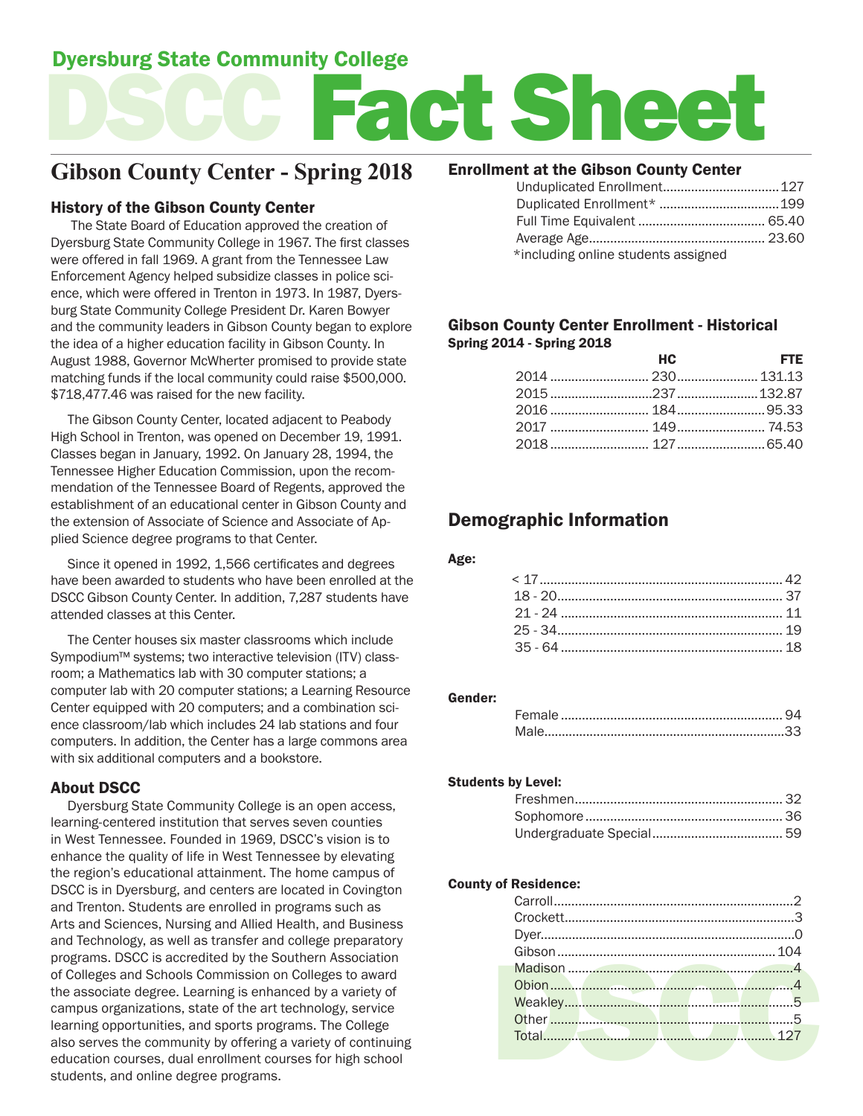## Dyersburg State Community College

# act Shee

## **Gibson County Center - Spring 2018**

#### History of the Gibson County Center

 The State Board of Education approved the creation of Dyersburg State Community College in 1967. The first classes were offered in fall 1969. A grant from the Tennessee Law Enforcement Agency helped subsidize classes in police science, which were offered in Trenton in 1973. In 1987, Dyersburg State Community College President Dr. Karen Bowyer and the community leaders in Gibson County began to explore the idea of a higher education facility in Gibson County. In August 1988, Governor McWherter promised to provide state matching funds if the local community could raise \$500,000. \$718,477.46 was raised for the new facility.

 The Gibson County Center, located adjacent to Peabody High School in Trenton, was opened on December 19, 1991. Classes began in January, 1992. On January 28, 1994, the Tennessee Higher Education Commission, upon the recommendation of the Tennessee Board of Regents, approved the establishment of an educational center in Gibson County and the extension of Associate of Science and Associate of Applied Science degree programs to that Center.

 Since it opened in 1992, 1,566 certificates and degrees have been awarded to students who have been enrolled at the DSCC Gibson County Center. In addition, 7,287 students have attended classes at this Center.

 The Center houses six master classrooms which include Sympodium™ systems; two interactive television (ITV) classroom; a Mathematics lab with 30 computer stations; a computer lab with 20 computer stations; a Learning Resource Center equipped with 20 computers; and a combination science classroom/lab which includes 24 lab stations and four computers. In addition, the Center has a large commons area with six additional computers and a bookstore.

#### About DSCC

 Dyersburg State Community College is an open access, learning-centered institution that serves seven counties in West Tennessee. Founded in 1969, DSCC's vision is to enhance the quality of life in West Tennessee by elevating the region's educational attainment. The home campus of DSCC is in Dyersburg, and centers are located in Covington and Trenton. Students are enrolled in programs such as Arts and Sciences, Nursing and Allied Health, and Business and Technology, as well as transfer and college preparatory programs. DSCC is accredited by the Southern Association of Colleges and Schools Commission on Colleges to award the associate degree. Learning is enhanced by a variety of campus organizations, state of the art technology, service learning opportunities, and sports programs. The College also serves the community by offering a variety of continuing education courses, dual enrollment courses for high school students, and online degree programs.

#### Enrollment at the Gibson County Center

| Unduplicated Enrollment 127         |  |
|-------------------------------------|--|
|                                     |  |
|                                     |  |
|                                     |  |
| *including online students assigned |  |

#### Gibson County Center Enrollment - Historical Spring 2014 - Spring 2018

| HC. | <b>Example 19 FTE</b> |
|-----|-----------------------|
|     |                       |
|     |                       |
|     |                       |
|     |                       |
|     |                       |

## Demographic Information

#### Age:

#### Gender:

#### Students by Level:

#### County of Residence:

| Other | 5    |
|-------|------|
|       | .127 |
|       |      |
|       |      |
|       |      |